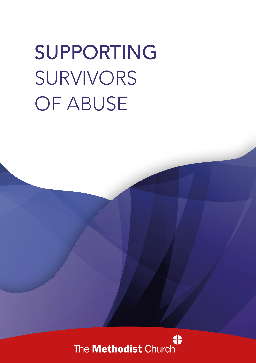# SUPPORTING SURVIVORS OF ABUSE

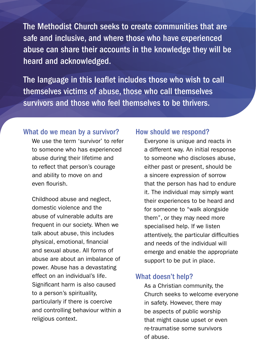The Methodist Church seeks to create communities that are safe and inclusive, and where those who have experienced abuse can share their accounts in the knowledge they will be heard and acknowledged.

The language in this leaflet includes those who wish to call themselves victims of abuse, those who call themselves survivors and those who feel themselves to be thrivers.

#### What do we mean by a survivor?

We use the term 'survivor' to refer to someone who has experienced abuse during their lifetime and to reflect that person's courage and ability to move on and even flourish.

Childhood abuse and neglect, domestic violence and the abuse of vulnerable adults are frequent in our society. When we talk about abuse, this includes physical, emotional, financial and sexual abuse. All forms of abuse are about an imbalance of power. Abuse has a devastating effect on an individual's life. Significant harm is also caused to a person's spirituality, particularly if there is coercive and controlling behaviour within a religious context.

#### How should we respond?

Everyone is unique and reacts in a different way. An initial response to someone who discloses abuse, either past or present, should be a sincere expression of sorrow that the person has had to endure it. The individual may simply want their experiences to be heard and for someone to "walk alongside them", or they may need more specialised help. If we listen attentively, the particular difficulties and needs of the individual will emerge and enable the appropriate support to be put in place.

#### What doesn't help?

As a Christian community, the Church seeks to welcome everyone in safety. However, there may be aspects of public worship that might cause upset or even re-traumatise some survivors of abuse.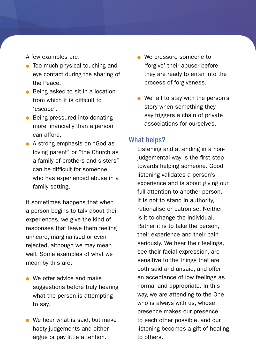A few examples are:

- Too much physical touching and eye contact during the sharing of the Peace.
- Being asked to sit in a location from which it is difficult to 'escape'.
- Being pressured into donating more financially than a person can afford.
- A strong emphasis on "God as loving parent" or "the Church as a family of brothers and sisters" can be difficult for someone who has experienced abuse in a family setting.

It sometimes happens that when a person begins to talk about their experiences, we give the kind of responses that leave them feeling unheard, marginalised or even rejected, although we may mean well. Some examples of what we mean by this are:

- We offer advice and make suggestions before truly hearing what the person is attempting to say.
- We hear what is said, but make hasty judgements and either argue or pay little attention.
- We pressure someone to 'forgive' their abuser before they are ready to enter into the process of forgiveness.
- We fail to stay with the person's story when something they say triggers a chain of private associations for ourselves.

#### What helps?

Listening and attending in a nonjudgemental way is the first step towards helping someone. Good listening validates a person's experience and is about giving our full attention to another person. It is not to stand in authority, rationalise or patronise. Neither is it to change the individual. Rather it is to take the person, their experience and their pain seriously. We hear their feelings, see their facial expression, are sensitive to the things that are both said and unsaid, and offer an acceptance of low feelings as normal and appropriate. In this way, we are attending to the One who is always with us, whose presence makes our presence to each other possible, and our listening becomes a gift of healing to others.